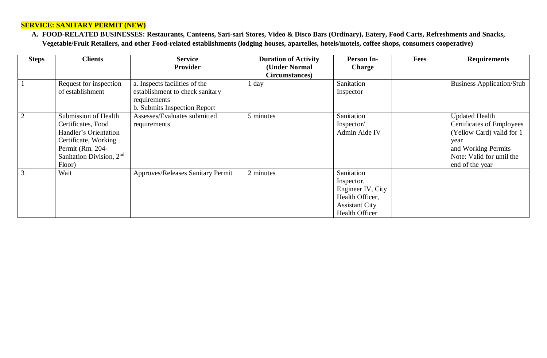#### **SERVICE: SANITARY PERMIT (NEW)**

**A. FOOD-RELATED BUSINESSES: Restaurants, Canteens, Sari-sari Stores, Video & Disco Bars (Ordinary), Eatery, Food Carts, Refreshments and Snacks, Vegetable/Fruit Retailers, and other Food-related establishments (lodging houses, apartelles, hotels/motels, coffee shops, consumers cooperative)**

| <b>Steps</b> | <b>Clients</b>             | <b>Service</b>                    | <b>Duration of Activity</b> | <b>Person In-</b>     | <b>Fees</b> | <b>Requirements</b>              |
|--------------|----------------------------|-----------------------------------|-----------------------------|-----------------------|-------------|----------------------------------|
|              |                            | <b>Provider</b>                   | (Under Normal               | <b>Charge</b>         |             |                                  |
|              |                            |                                   | Circumstances)              |                       |             |                                  |
|              | Request for inspection     | a. Inspects facilities of the     | 1 day                       | Sanitation            |             | <b>Business Application/Stub</b> |
|              | of establishment           | establishment to check sanitary   |                             | Inspector             |             |                                  |
|              |                            | requirements                      |                             |                       |             |                                  |
|              |                            | b. Submits Inspection Report      |                             |                       |             |                                  |
|              | Submission of Health       | Assesses/Evaluates submitted      | 5 minutes                   | Sanitation            |             | <b>Updated Health</b>            |
|              | Certificates, Food         | requirements                      |                             | Inspector/            |             | Certificates of Employees        |
|              | Handler's Orientation      |                                   |                             | Admin Aide IV         |             | (Yellow Card) valid for 1        |
|              | Certificate, Working       |                                   |                             |                       |             | year                             |
|              | Permit (Rm. 204-           |                                   |                             |                       |             | and Working Permits              |
|              | Sanitation Division, $2nd$ |                                   |                             |                       |             | Note: Valid for until the        |
|              | Floor)                     |                                   |                             |                       |             | end of the year                  |
|              | Wait                       | Approves/Releases Sanitary Permit | 2 minutes                   | Sanitation            |             |                                  |
|              |                            |                                   |                             | Inspector,            |             |                                  |
|              |                            |                                   |                             | Engineer IV, City     |             |                                  |
|              |                            |                                   |                             | Health Officer,       |             |                                  |
|              |                            |                                   |                             | <b>Assistant City</b> |             |                                  |
|              |                            |                                   |                             | <b>Health Officer</b> |             |                                  |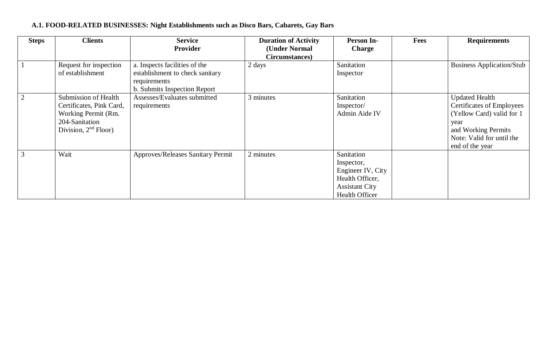# **A.1. FOOD-RELATED BUSINESSES: Night Establishments such as Disco Bars, Cabarets, Gay Bars**

| <b>Steps</b> | <b>Clients</b>           | <b>Service</b>                    | <b>Duration of Activity</b> | <b>Person In-</b>     | <b>Fees</b> | <b>Requirements</b>              |
|--------------|--------------------------|-----------------------------------|-----------------------------|-----------------------|-------------|----------------------------------|
|              |                          | <b>Provider</b>                   | (Under Normal               | <b>Charge</b>         |             |                                  |
|              |                          |                                   | Circumstances)              |                       |             |                                  |
|              | Request for inspection   | a. Inspects facilities of the     | 2 days                      | Sanitation            |             | <b>Business Application/Stub</b> |
|              | of establishment         | establishment to check sanitary   |                             | Inspector             |             |                                  |
|              |                          | requirements                      |                             |                       |             |                                  |
|              |                          | b. Submits Inspection Report      |                             |                       |             |                                  |
|              | Submission of Health     | Assesses/Evaluates submitted      | 3 minutes                   | Sanitation            |             | <b>Updated Health</b>            |
|              | Certificates, Pink Card, | requirements                      |                             | Inspector/            |             | Certificates of Employees        |
|              | Working Permit (Rm.      |                                   |                             | Admin Aide IV         |             | (Yellow Card) valid for 1        |
|              | 204-Sanitation           |                                   |                             |                       |             | year                             |
|              | Division, $2nd$ Floor)   |                                   |                             |                       |             | and Working Permits              |
|              |                          |                                   |                             |                       |             | Note: Valid for until the        |
|              |                          |                                   |                             |                       |             | end of the year                  |
|              | Wait                     | Approves/Releases Sanitary Permit | 2 minutes                   | Sanitation            |             |                                  |
|              |                          |                                   |                             | Inspector,            |             |                                  |
|              |                          |                                   |                             | Engineer IV, City     |             |                                  |
|              |                          |                                   |                             | Health Officer,       |             |                                  |
|              |                          |                                   |                             | <b>Assistant City</b> |             |                                  |
|              |                          |                                   |                             | <b>Health Officer</b> |             |                                  |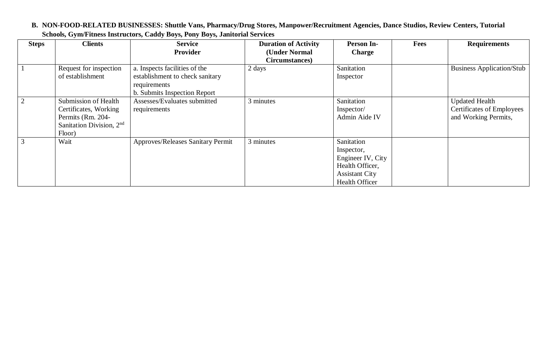|                | Schools, Gym/Fitness Instructors, Caddy Boys, Pony Boys, Janitorial Services                               |                                                                                                                  |                                                                |                                                                                                                    |      |                                                                                   |  |  |  |
|----------------|------------------------------------------------------------------------------------------------------------|------------------------------------------------------------------------------------------------------------------|----------------------------------------------------------------|--------------------------------------------------------------------------------------------------------------------|------|-----------------------------------------------------------------------------------|--|--|--|
| <b>Steps</b>   | <b>Clients</b>                                                                                             | <b>Service</b><br><b>Provider</b>                                                                                | <b>Duration of Activity</b><br>(Under Normal<br>Circumstances) | <b>Person In-</b><br><b>Charge</b>                                                                                 | Fees | <b>Requirements</b>                                                               |  |  |  |
|                | Request for inspection<br>of establishment                                                                 | a. Inspects facilities of the<br>establishment to check sanitary<br>requirements<br>b. Submits Inspection Report | 2 days                                                         | Sanitation<br>Inspector                                                                                            |      | <b>Business Application/Stub</b>                                                  |  |  |  |
| 2              | Submission of Health<br>Certificates, Working<br>Permits (Rm. 204-<br>Sanitation Division, $2nd$<br>Floor) | Assesses/Evaluates submitted<br>requirements                                                                     | 3 minutes                                                      | Sanitation<br>Inspector/<br>Admin Aide IV                                                                          |      | <b>Updated Health</b><br><b>Certificates of Employees</b><br>and Working Permits, |  |  |  |
| $\mathfrak{Z}$ | Wait                                                                                                       | Approves/Releases Sanitary Permit                                                                                | 3 minutes                                                      | Sanitation<br>Inspector,<br>Engineer IV, City<br>Health Officer,<br><b>Assistant City</b><br><b>Health Officer</b> |      |                                                                                   |  |  |  |

#### **B. NON-FOOD-RELATED BUSINESSES: Shuttle Vans, Pharmacy/Drug Stores, Manpower/Recruitment Agencies, Dance Studios, Review Centers, Tutorial Schools, Gym/Fitness Instructors, Caddy Boys, Pony Boys, Janitorial Services**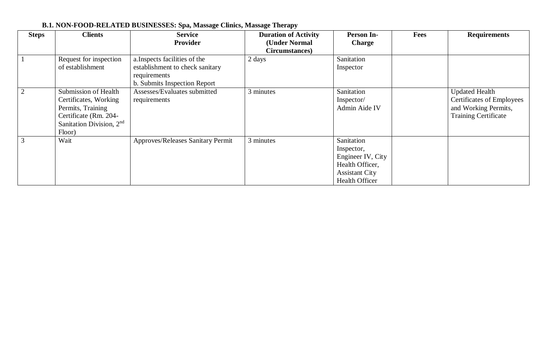| <b>Steps</b> | <b>Clients</b>                                                                                                                                | <b>Service</b><br><b>Provider</b>                                                                                | <b>Duration of Activity</b><br>(Under Normal<br>Circumstances) | <b>Person In-</b><br><b>Charge</b>                                                                                 | Fees | <b>Requirements</b>                                                                                       |
|--------------|-----------------------------------------------------------------------------------------------------------------------------------------------|------------------------------------------------------------------------------------------------------------------|----------------------------------------------------------------|--------------------------------------------------------------------------------------------------------------------|------|-----------------------------------------------------------------------------------------------------------|
|              | Request for inspection<br>of establishment                                                                                                    | a. Inspects facilities of the<br>establishment to check sanitary<br>requirements<br>b. Submits Inspection Report | 2 days                                                         | Sanitation<br>Inspector                                                                                            |      |                                                                                                           |
|              | Submission of Health<br>Certificates, Working<br>Permits, Training<br>Certificate (Rm. 204-<br>Sanitation Division, 2 <sup>nd</sup><br>Floor) | Assesses/Evaluates submitted<br>requirements                                                                     | 3 minutes                                                      | Sanitation<br>Inspector/<br>Admin Aide IV                                                                          |      | <b>Updated Health</b><br>Certificates of Employees<br>and Working Permits,<br><b>Training Certificate</b> |
| 3            | Wait                                                                                                                                          | Approves/Releases Sanitary Permit                                                                                | 3 minutes                                                      | Sanitation<br>Inspector,<br>Engineer IV, City<br>Health Officer,<br><b>Assistant City</b><br><b>Health Officer</b> |      |                                                                                                           |

# **B.1. NON-FOOD-RELATED BUSINESSES: Spa, Massage Clinics, Massage Therapy**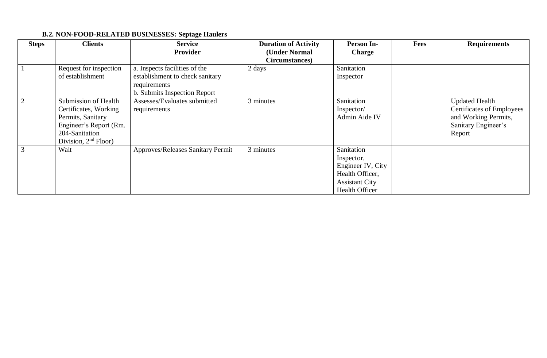# **B.2. NON-FOOD-RELATED BUSINESSES: Septage Haulers**

| <b>Steps</b> | <b>Clients</b>         | <b>Service</b>                    | <b>Duration of Activity</b> | Person In-            | <b>Fees</b> | <b>Requirements</b>              |
|--------------|------------------------|-----------------------------------|-----------------------------|-----------------------|-------------|----------------------------------|
|              |                        | <b>Provider</b>                   | (Under Normal               | <b>Charge</b>         |             |                                  |
|              |                        |                                   | Circumstances)              |                       |             |                                  |
|              | Request for inspection | a. Inspects facilities of the     | 2 days                      | Sanitation            |             |                                  |
|              | of establishment       | establishment to check sanitary   |                             | Inspector             |             |                                  |
|              |                        | requirements                      |                             |                       |             |                                  |
|              |                        | b. Submits Inspection Report      |                             |                       |             |                                  |
|              | Submission of Health   | Assesses/Evaluates submitted      | 3 minutes                   | Sanitation            |             | <b>Updated Health</b>            |
|              | Certificates, Working  | requirements                      |                             | Inspector/            |             | <b>Certificates of Employees</b> |
|              | Permits, Sanitary      |                                   |                             | Admin Aide IV         |             | and Working Permits,             |
|              | Engineer's Report (Rm. |                                   |                             |                       |             | Sanitary Engineer's              |
|              | 204-Sanitation         |                                   |                             |                       |             | Report                           |
|              | Division, $2nd$ Floor) |                                   |                             |                       |             |                                  |
|              | Wait                   | Approves/Releases Sanitary Permit | 3 minutes                   | Sanitation            |             |                                  |
|              |                        |                                   |                             | Inspector,            |             |                                  |
|              |                        |                                   |                             | Engineer IV, City     |             |                                  |
|              |                        |                                   |                             | Health Officer,       |             |                                  |
|              |                        |                                   |                             | <b>Assistant City</b> |             |                                  |
|              |                        |                                   |                             | <b>Health Officer</b> |             |                                  |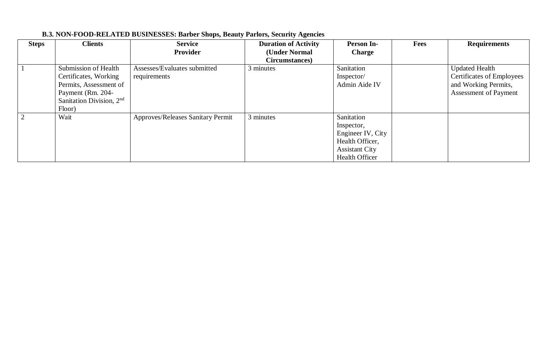| <b>Steps</b> | <b>Clients</b>             | <b>Service</b><br><b>Provider</b>        | <b>Duration of Activity</b><br>(Under Normal | <b>Person In-</b><br><b>Charge</b> | <b>Fees</b> | <b>Requirements</b>              |
|--------------|----------------------------|------------------------------------------|----------------------------------------------|------------------------------------|-------------|----------------------------------|
|              |                            |                                          | Circumstances)                               |                                    |             |                                  |
|              | Submission of Health       | Assesses/Evaluates submitted             | 3 minutes                                    | Sanitation                         |             | <b>Updated Health</b>            |
|              | Certificates, Working      | requirements                             |                                              | Inspector/                         |             | <b>Certificates of Employees</b> |
|              | Permits, Assessment of     |                                          |                                              | Admin Aide IV                      |             | and Working Permits,             |
|              | Payment (Rm. 204-          |                                          |                                              |                                    |             | Assessment of Payment            |
|              | Sanitation Division, $2nd$ |                                          |                                              |                                    |             |                                  |
|              | Floor)                     |                                          |                                              |                                    |             |                                  |
|              | Wait                       | <b>Approves/Releases Sanitary Permit</b> | 3 minutes                                    | Sanitation                         |             |                                  |
|              |                            |                                          |                                              | Inspector,                         |             |                                  |
|              |                            |                                          |                                              | Engineer IV, City                  |             |                                  |
|              |                            |                                          |                                              | Health Officer,                    |             |                                  |
|              |                            |                                          |                                              | <b>Assistant City</b>              |             |                                  |
|              |                            |                                          |                                              | <b>Health Officer</b>              |             |                                  |

# **B.3. NON-FOOD-RELATED BUSINESSES: Barber Shops, Beauty Parlors, Security Agencies**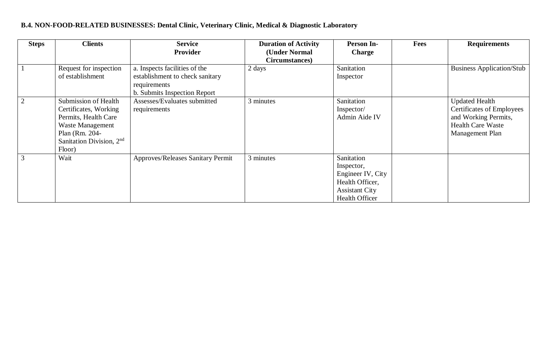# **B.4. NON-FOOD-RELATED BUSINESSES: Dental Clinic, Veterinary Clinic, Medical & Diagnostic Laboratory**

| <b>Steps</b>   | <b>Clients</b>                                                                                                                                                    | <b>Service</b>                                                                                                   | <b>Duration of Activity</b> | <b>Person In-</b>                                                                                                  | Fees | <b>Requirements</b>                                                                                                              |
|----------------|-------------------------------------------------------------------------------------------------------------------------------------------------------------------|------------------------------------------------------------------------------------------------------------------|-----------------------------|--------------------------------------------------------------------------------------------------------------------|------|----------------------------------------------------------------------------------------------------------------------------------|
|                |                                                                                                                                                                   | <b>Provider</b>                                                                                                  | (Under Normal               | <b>Charge</b>                                                                                                      |      |                                                                                                                                  |
|                |                                                                                                                                                                   |                                                                                                                  | Circumstances)              |                                                                                                                    |      |                                                                                                                                  |
|                | Request for inspection<br>of establishment                                                                                                                        | a. Inspects facilities of the<br>establishment to check sanitary<br>requirements<br>b. Submits Inspection Report | 2 days                      | Sanitation<br>Inspector                                                                                            |      | <b>Business Application/Stub</b>                                                                                                 |
| $\overline{2}$ | <b>Submission of Health</b><br>Certificates, Working<br>Permits, Health Care<br><b>Waste Management</b><br>Plan (Rm. 204-<br>Sanitation Division, $2nd$<br>Floor) | Assesses/Evaluates submitted<br>requirements                                                                     | 3 minutes                   | Sanitation<br>Inspector/<br>Admin Aide IV                                                                          |      | <b>Updated Health</b><br><b>Certificates of Employees</b><br>and Working Permits,<br><b>Health Care Waste</b><br>Management Plan |
| 3              | Wait                                                                                                                                                              | Approves/Releases Sanitary Permit                                                                                | 3 minutes                   | Sanitation<br>Inspector,<br>Engineer IV, City<br>Health Officer,<br><b>Assistant City</b><br><b>Health Officer</b> |      |                                                                                                                                  |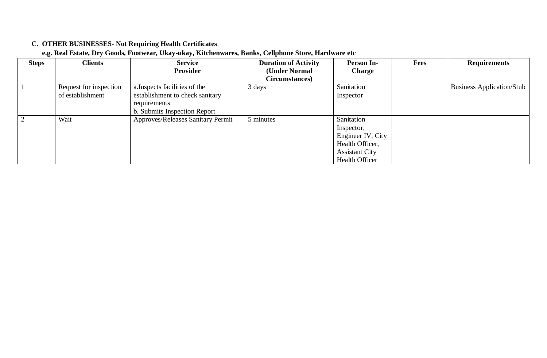# **C. OTHER BUSINESSES- Not Requiring Health Certificates**

#### **e.g. Real Estate, Dry Goods, Footwear, Ukay-ukay, Kitchenwares, Banks, Cellphone Store, Hardware etc**

| <b>Steps</b> | <b>Clients</b>         | <b>Service</b>                           | <b>Duration of Activity</b> | <b>Person In-</b>     | <b>Fees</b> | <b>Requirements</b>              |
|--------------|------------------------|------------------------------------------|-----------------------------|-----------------------|-------------|----------------------------------|
|              |                        | Provider                                 | (Under Normal               | <b>Charge</b>         |             |                                  |
|              |                        |                                          | Circumstances)              |                       |             |                                  |
|              | Request for inspection | a. Inspects facilities of the            | 3 days                      | Sanitation            |             | <b>Business Application/Stub</b> |
|              | of establishment       | establishment to check sanitary          |                             | Inspector             |             |                                  |
|              |                        | requirements                             |                             |                       |             |                                  |
|              |                        | b. Submits Inspection Report             |                             |                       |             |                                  |
|              | Wait                   | <b>Approves/Releases Sanitary Permit</b> | 5 minutes                   | Sanitation            |             |                                  |
|              |                        |                                          |                             | Inspector,            |             |                                  |
|              |                        |                                          |                             | Engineer IV, City     |             |                                  |
|              |                        |                                          |                             | Health Officer,       |             |                                  |
|              |                        |                                          |                             | <b>Assistant City</b> |             |                                  |
|              |                        |                                          |                             | <b>Health Officer</b> |             |                                  |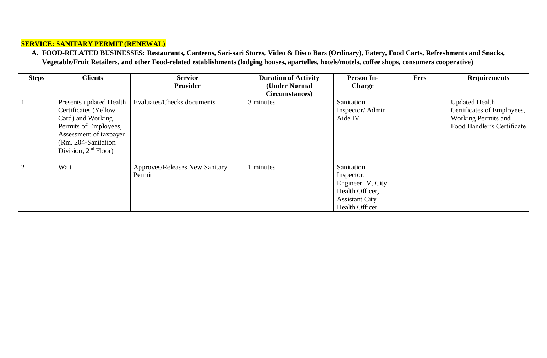#### **SERVICE: SANITARY PERMIT (RENEWAL)**

**A. FOOD-RELATED BUSINESSES: Restaurants, Canteens, Sari-sari Stores, Video & Disco Bars (Ordinary), Eatery, Food Carts, Refreshments and Snacks, Vegetable/Fruit Retailers, and other Food-related establishments (lodging houses, apartelles, hotels/motels, coffee shops, consumers cooperative)**

| <b>Steps</b> | <b>Clients</b>          | <b>Service</b>                 | <b>Duration of Activity</b> | <b>Person In-</b>     | <b>Fees</b> | <b>Requirements</b>        |
|--------------|-------------------------|--------------------------------|-----------------------------|-----------------------|-------------|----------------------------|
|              |                         | Provider                       | (Under Normal               | <b>Charge</b>         |             |                            |
|              |                         |                                | Circumstances)              |                       |             |                            |
|              | Presents updated Health | Evaluates/Checks documents     | 3 minutes                   | Sanitation            |             | <b>Updated Health</b>      |
|              | Certificates (Yellow    |                                |                             | Inspector/Admin       |             | Certificates of Employees, |
|              | Card) and Working       |                                |                             | Aide IV               |             | <b>Working Permits and</b> |
|              | Permits of Employees,   |                                |                             |                       |             | Food Handler's Certificate |
|              | Assessment of taxpayer  |                                |                             |                       |             |                            |
|              | (Rm. 204-Sanitation)    |                                |                             |                       |             |                            |
|              | Division, $2nd$ Floor)  |                                |                             |                       |             |                            |
|              |                         |                                |                             |                       |             |                            |
| 2            | Wait                    | Approves/Releases New Sanitary | 1 minutes                   | Sanitation            |             |                            |
|              |                         | Permit                         |                             | Inspector,            |             |                            |
|              |                         |                                |                             | Engineer IV, City     |             |                            |
|              |                         |                                |                             | Health Officer,       |             |                            |
|              |                         |                                |                             | <b>Assistant City</b> |             |                            |
|              |                         |                                |                             | <b>Health Officer</b> |             |                            |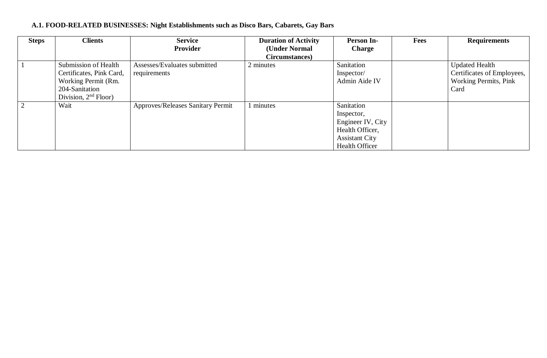# **A.1. FOOD-RELATED BUSINESSES: Night Establishments such as Disco Bars, Cabarets, Gay Bars**

| <b>Steps</b> | <b>Clients</b>           | <b>Service</b>                           | <b>Duration of Activity</b> | <b>Person In-</b>     | <b>Fees</b> | <b>Requirements</b>          |
|--------------|--------------------------|------------------------------------------|-----------------------------|-----------------------|-------------|------------------------------|
|              |                          | Provider                                 | (Under Normal               | <b>Charge</b>         |             |                              |
|              |                          |                                          | Circumstances)              |                       |             |                              |
|              | Submission of Health     | Assesses/Evaluates submitted             | 2 minutes                   | Sanitation            |             | <b>Updated Health</b>        |
|              | Certificates, Pink Card, | requirements                             |                             | Inspector/            |             | Certificates of Employees,   |
|              | Working Permit (Rm.      |                                          |                             | Admin Aide IV         |             | <b>Working Permits, Pink</b> |
|              | 204-Sanitation           |                                          |                             |                       |             | Card                         |
|              | Division, $2nd$ Floor)   |                                          |                             |                       |             |                              |
|              | Wait                     | <b>Approves/Releases Sanitary Permit</b> | minutes                     | Sanitation            |             |                              |
|              |                          |                                          |                             | Inspector,            |             |                              |
|              |                          |                                          |                             | Engineer IV, City     |             |                              |
|              |                          |                                          |                             | Health Officer,       |             |                              |
|              |                          |                                          |                             | <b>Assistant City</b> |             |                              |
|              |                          |                                          |                             | <b>Health Officer</b> |             |                              |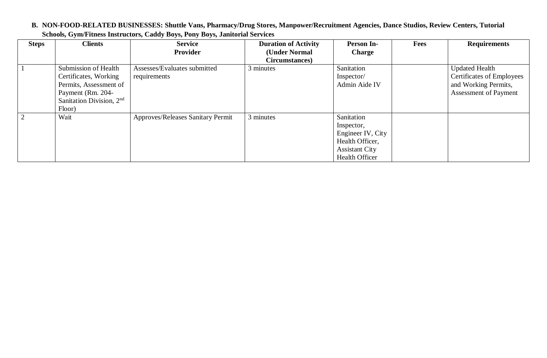#### **B. NON-FOOD-RELATED BUSINESSES: Shuttle Vans, Pharmacy/Drug Stores, Manpower/Recruitment Agencies, Dance Studios, Review Centers, Tutorial Schools, Gym/Fitness Instructors, Caddy Boys, Pony Boys, Janitorial Services**

| <b>Steps</b> | <b>Clients</b>             | <b>Service</b>                    | <b>Duration of Activity</b> | Person In-            | <b>Fees</b> | <b>Requirements</b>          |
|--------------|----------------------------|-----------------------------------|-----------------------------|-----------------------|-------------|------------------------------|
|              |                            | <b>Provider</b>                   | (Under Normal               | <b>Charge</b>         |             |                              |
|              |                            |                                   | Circumstances)              |                       |             |                              |
|              | Submission of Health       | Assesses/Evaluates submitted      | 3 minutes                   | Sanitation            |             | <b>Updated Health</b>        |
|              | Certificates, Working      | requirements                      |                             | Inspector/            |             | Certificates of Employees    |
|              | Permits, Assessment of     |                                   |                             | Admin Aide IV         |             | and Working Permits,         |
|              | Payment (Rm. 204-          |                                   |                             |                       |             | <b>Assessment of Payment</b> |
|              | Sanitation Division, $2nd$ |                                   |                             |                       |             |                              |
|              | Floor)                     |                                   |                             |                       |             |                              |
|              | Wait                       | Approves/Releases Sanitary Permit | 3 minutes                   | Sanitation            |             |                              |
|              |                            |                                   |                             | Inspector,            |             |                              |
|              |                            |                                   |                             | Engineer IV, City     |             |                              |
|              |                            |                                   |                             | Health Officer,       |             |                              |
|              |                            |                                   |                             | <b>Assistant City</b> |             |                              |
|              |                            |                                   |                             | <b>Health Officer</b> |             |                              |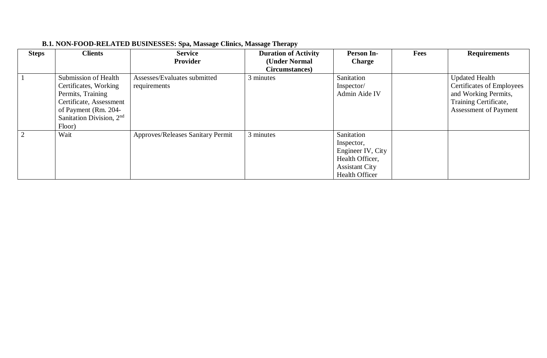| <b>Steps</b> | <b>Clients</b>             | <b>Service</b><br><b>Provider</b>        | <b>Duration of Activity</b><br>(Under Normal | <b>Person In-</b><br><b>Charge</b> | <b>Fees</b> | <b>Requirements</b>              |
|--------------|----------------------------|------------------------------------------|----------------------------------------------|------------------------------------|-------------|----------------------------------|
|              |                            |                                          | Circumstances)                               |                                    |             |                                  |
|              | Submission of Health       | Assesses/Evaluates submitted             | 3 minutes                                    | Sanitation                         |             | <b>Updated Health</b>            |
|              | Certificates, Working      | requirements                             |                                              | Inspector/                         |             | <b>Certificates of Employees</b> |
|              | Permits, Training          |                                          |                                              | Admin Aide IV                      |             | and Working Permits,             |
|              | Certificate, Assessment    |                                          |                                              |                                    |             | Training Certificate,            |
|              | of Payment (Rm. 204-       |                                          |                                              |                                    |             | <b>Assessment of Payment</b>     |
|              | Sanitation Division, $2nd$ |                                          |                                              |                                    |             |                                  |
|              | Floor)                     |                                          |                                              |                                    |             |                                  |
| 2            | Wait                       | <b>Approves/Releases Sanitary Permit</b> | 3 minutes                                    | Sanitation                         |             |                                  |
|              |                            |                                          |                                              | Inspector,                         |             |                                  |
|              |                            |                                          |                                              | Engineer IV, City                  |             |                                  |
|              |                            |                                          |                                              | Health Officer,                    |             |                                  |
|              |                            |                                          |                                              | <b>Assistant City</b>              |             |                                  |
|              |                            |                                          |                                              | <b>Health Officer</b>              |             |                                  |

# **B.1. NON-FOOD-RELATED BUSINESSES: Spa, Massage Clinics, Massage Therapy**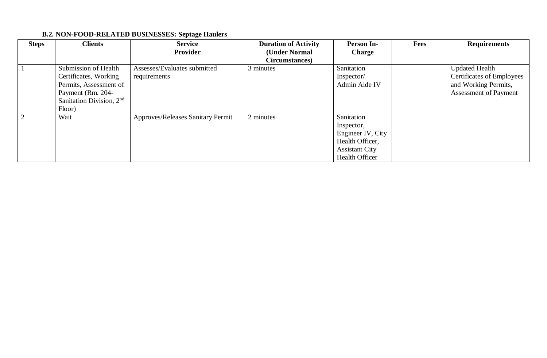# **B.2. NON-FOOD-RELATED BUSINESSES: Septage Haulers**

| <b>Steps</b> | <b>Clients</b>             | <b>Service</b>                    | <b>Duration of Activity</b> | Person In-            | Fees | <b>Requirements</b>              |
|--------------|----------------------------|-----------------------------------|-----------------------------|-----------------------|------|----------------------------------|
|              |                            | <b>Provider</b>                   | (Under Normal               | <b>Charge</b>         |      |                                  |
|              |                            |                                   | Circumstances)              |                       |      |                                  |
|              | Submission of Health       | Assesses/Evaluates submitted      | 3 minutes                   | Sanitation            |      | <b>Updated Health</b>            |
|              | Certificates, Working      | requirements                      |                             | Inspector/            |      | <b>Certificates of Employees</b> |
|              | Permits, Assessment of     |                                   |                             | Admin Aide IV         |      | and Working Permits,             |
|              | Payment (Rm. 204-          |                                   |                             |                       |      | Assessment of Payment            |
|              | Sanitation Division, $2nd$ |                                   |                             |                       |      |                                  |
|              | Floor)                     |                                   |                             |                       |      |                                  |
|              | Wait                       | Approves/Releases Sanitary Permit | 2 minutes                   | Sanitation            |      |                                  |
|              |                            |                                   |                             | Inspector,            |      |                                  |
|              |                            |                                   |                             | Engineer IV, City     |      |                                  |
|              |                            |                                   |                             | Health Officer,       |      |                                  |
|              |                            |                                   |                             | <b>Assistant City</b> |      |                                  |
|              |                            |                                   |                             | <b>Health Officer</b> |      |                                  |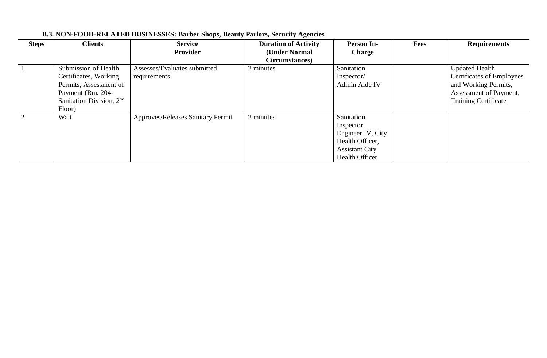| <b>Steps</b> | <b>Clients</b>                                                                                                                       | <b>Service</b><br><b>Provider</b>            | <b>Duration of Activity</b><br>(Under Normal<br>Circumstances) | <b>Person In-</b><br><b>Charge</b>                                                                                 | <b>Fees</b> | <b>Requirements</b>                                                                                                                        |
|--------------|--------------------------------------------------------------------------------------------------------------------------------------|----------------------------------------------|----------------------------------------------------------------|--------------------------------------------------------------------------------------------------------------------|-------------|--------------------------------------------------------------------------------------------------------------------------------------------|
|              | Submission of Health<br>Certificates, Working<br>Permits, Assessment of<br>Payment (Rm. 204-<br>Sanitation Division, $2nd$<br>Floor) | Assesses/Evaluates submitted<br>requirements | 2 minutes                                                      | Sanitation<br>Inspector/<br>Admin Aide IV                                                                          |             | <b>Updated Health</b><br><b>Certificates of Employees</b><br>and Working Permits,<br>Assessment of Payment,<br><b>Training Certificate</b> |
|              | Wait                                                                                                                                 | Approves/Releases Sanitary Permit            | 2 minutes                                                      | Sanitation<br>Inspector,<br>Engineer IV, City<br>Health Officer,<br><b>Assistant City</b><br><b>Health Officer</b> |             |                                                                                                                                            |

# **B.3. NON-FOOD-RELATED BUSINESSES: Barber Shops, Beauty Parlors, Security Agencies**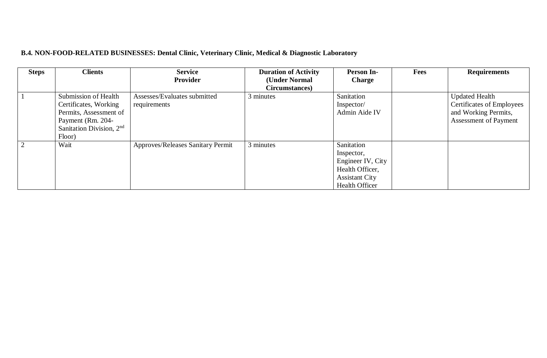# **B.4. NON-FOOD-RELATED BUSINESSES: Dental Clinic, Veterinary Clinic, Medical & Diagnostic Laboratory**

| <b>Steps</b>   | <b>Clients</b>              | <b>Service</b>                           | <b>Duration of Activity</b> | <b>Person In-</b>     | <b>Fees</b> | <b>Requirements</b>       |
|----------------|-----------------------------|------------------------------------------|-----------------------------|-----------------------|-------------|---------------------------|
|                |                             | Provider                                 | (Under Normal               | <b>Charge</b>         |             |                           |
|                |                             |                                          | Circumstances)              |                       |             |                           |
|                | <b>Submission of Health</b> | Assesses/Evaluates submitted             | 3 minutes                   | Sanitation            |             | <b>Updated Health</b>     |
|                | Certificates, Working       | requirements                             |                             | Inspector/            |             | Certificates of Employees |
|                | Permits, Assessment of      |                                          |                             | Admin Aide IV         |             | and Working Permits,      |
|                | Payment (Rm. 204-           |                                          |                             |                       |             | Assessment of Payment     |
|                | Sanitation Division, $2nd$  |                                          |                             |                       |             |                           |
|                | Floor)                      |                                          |                             |                       |             |                           |
| $\overline{2}$ | Wait                        | <b>Approves/Releases Sanitary Permit</b> | 3 minutes                   | Sanitation            |             |                           |
|                |                             |                                          |                             | Inspector,            |             |                           |
|                |                             |                                          |                             | Engineer IV, City     |             |                           |
|                |                             |                                          |                             | Health Officer,       |             |                           |
|                |                             |                                          |                             | <b>Assistant City</b> |             |                           |
|                |                             |                                          |                             | <b>Health Officer</b> |             |                           |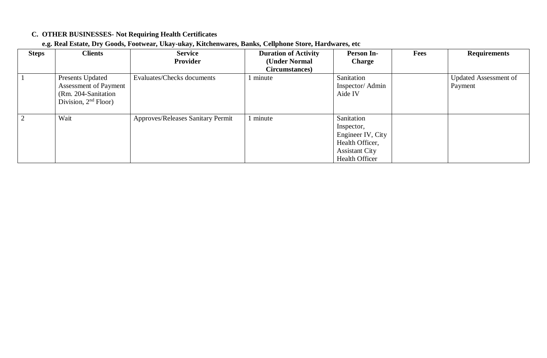# **C. OTHER BUSINESSES- Not Requiring Health Certificates**

|  | e.g. Real Estate, Dry Goods, Footwear, Ukay-ukay, Kitchenwares, Banks, Cellphone Store, Hardwares, etc |
|--|--------------------------------------------------------------------------------------------------------|
|  |                                                                                                        |

| <b>Steps</b>   | <b>Clients</b>               | <b>Service</b>                    | <b>Duration of Activity</b> | <b>Person In-</b>     | <b>Fees</b> | <b>Requirements</b>          |
|----------------|------------------------------|-----------------------------------|-----------------------------|-----------------------|-------------|------------------------------|
|                |                              | <b>Provider</b>                   | (Under Normal               | <b>Charge</b>         |             |                              |
|                |                              |                                   | Circumstances)              |                       |             |                              |
|                | Presents Updated             | Evaluates/Checks documents        | minute                      | Sanitation            |             | <b>Updated Assessment of</b> |
|                | <b>Assessment of Payment</b> |                                   |                             | Inspector/Admin       |             | Payment                      |
|                | (Rm. 204-Sanitation          |                                   |                             | Aide IV               |             |                              |
|                | Division, $2nd$ Floor)       |                                   |                             |                       |             |                              |
|                |                              |                                   |                             |                       |             |                              |
| $\overline{2}$ | Wait                         | Approves/Releases Sanitary Permit | minute                      | Sanitation            |             |                              |
|                |                              |                                   |                             | Inspector,            |             |                              |
|                |                              |                                   |                             | Engineer IV, City     |             |                              |
|                |                              |                                   |                             | Health Officer,       |             |                              |
|                |                              |                                   |                             | <b>Assistant City</b> |             |                              |
|                |                              |                                   |                             | <b>Health Officer</b> |             |                              |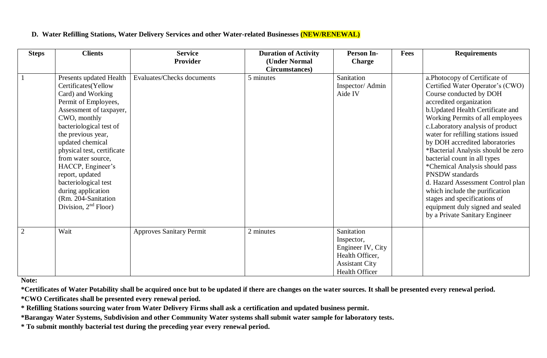#### **D. Water Refilling Stations, Water Delivery Services and other Water-related Businesses (NEW/RENEWAL)**

| <b>Steps</b> | <b>Clients</b>                                                                                                                                                                                                                                                                                                                                                                                          | <b>Service</b>                  | <b>Duration of Activity</b>     | <b>Person In-</b>                                                                                                  | <b>Fees</b> | <b>Requirements</b>                                                                                                                                                                                                                                                                                                                                                                                                                                                                                                                                                                                                           |
|--------------|---------------------------------------------------------------------------------------------------------------------------------------------------------------------------------------------------------------------------------------------------------------------------------------------------------------------------------------------------------------------------------------------------------|---------------------------------|---------------------------------|--------------------------------------------------------------------------------------------------------------------|-------------|-------------------------------------------------------------------------------------------------------------------------------------------------------------------------------------------------------------------------------------------------------------------------------------------------------------------------------------------------------------------------------------------------------------------------------------------------------------------------------------------------------------------------------------------------------------------------------------------------------------------------------|
|              |                                                                                                                                                                                                                                                                                                                                                                                                         | Provider                        | (Under Normal<br>Circumstances) | <b>Charge</b>                                                                                                      |             |                                                                                                                                                                                                                                                                                                                                                                                                                                                                                                                                                                                                                               |
|              | Presents updated Health<br>Certificates(Yellow<br>Card) and Working<br>Permit of Employees,<br>Assessment of taxpayer,<br>CWO, monthly<br>bacteriological test of<br>the previous year,<br>updated chemical<br>physical test, certificate<br>from water source,<br>HACCP, Engineer's<br>report, updated<br>bacteriological test<br>during application<br>(Rm. 204-Sanitation)<br>Division, $2nd$ Floor) | Evaluates/Checks documents      | 5 minutes                       | Sanitation<br>Inspector/Admin<br>Aide IV                                                                           |             | a.Photocopy of Certificate of<br>Certified Water Operator's (CWO)<br>Course conducted by DOH<br>accredited organization<br>b. Updated Health Certificate and<br>Working Permits of all employees<br>c. Laboratory analysis of product<br>water for refilling stations issued<br>by DOH accredited laboratories<br>*Bacterial Analysis should be zero<br>bacterial count in all types<br>*Chemical Analysis should pass<br><b>PNSDW</b> standards<br>d. Hazard Assessment Control plan<br>which include the purification<br>stages and specifications of<br>equipment duly signed and sealed<br>by a Private Sanitary Engineer |
| 2            | Wait                                                                                                                                                                                                                                                                                                                                                                                                    | <b>Approves Sanitary Permit</b> | 2 minutes                       | Sanitation<br>Inspector,<br>Engineer IV, City<br>Health Officer,<br><b>Assistant City</b><br><b>Health Officer</b> |             |                                                                                                                                                                                                                                                                                                                                                                                                                                                                                                                                                                                                                               |

**Note:** 

**\*Certificates of Water Potability shall be acquired once but to be updated if there are changes on the water sources. It shall be presented every renewal period.**

**\*CWO Certificates shall be presented every renewal period.**

**\* Refilling Stations sourcing water from Water Delivery Firms shall ask a certification and updated business permit.**

**\*Barangay Water Systems, Subdivision and other Community Water systems shall submit water sample for laboratory tests.**

**\* To submit monthly bacterial test during the preceding year every renewal period.**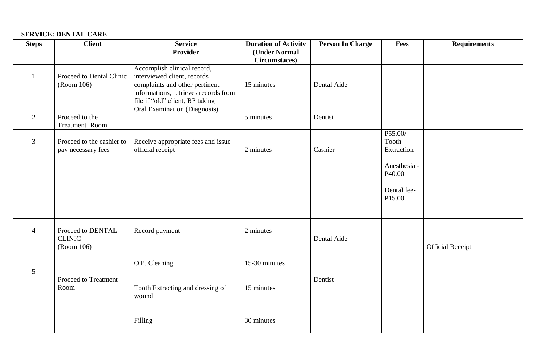#### **SERVICE: DENTAL CARE**

| <b>Steps</b>    | <b>Client</b>                                    | <b>Service</b><br><b>Provider</b>                                                                                                                                       | <b>Duration of Activity</b><br>(Under Normal | <b>Person In Charge</b> | Fees                                                                              | <b>Requirements</b>     |
|-----------------|--------------------------------------------------|-------------------------------------------------------------------------------------------------------------------------------------------------------------------------|----------------------------------------------|-------------------------|-----------------------------------------------------------------------------------|-------------------------|
|                 |                                                  |                                                                                                                                                                         | Circumstaces)                                |                         |                                                                                   |                         |
|                 | Proceed to Dental Clinic<br>(Room 106)           | Accomplish clinical record,<br>interviewed client, records<br>complaints and other pertinent<br>informations, retrieves records from<br>file if "old" client, BP taking | 15 minutes                                   | Dental Aide             |                                                                                   |                         |
| 2               | Proceed to the<br>Treatment Room                 | <b>Oral Examination (Diagnosis)</b>                                                                                                                                     | 5 minutes                                    | Dentist                 |                                                                                   |                         |
| $\overline{3}$  | Proceed to the cashier to<br>pay necessary fees  | Receive appropriate fees and issue<br>official receipt                                                                                                                  | 2 minutes                                    | Cashier                 | P55.00/<br>Tooth<br>Extraction<br>Anesthesia -<br>P40.00<br>Dental fee-<br>P15.00 |                         |
| $\overline{4}$  | Proceed to DENTAL<br><b>CLINIC</b><br>(Room 106) | Record payment                                                                                                                                                          | 2 minutes                                    | Dental Aide             |                                                                                   | <b>Official Receipt</b> |
| $5\overline{)}$ |                                                  | O.P. Cleaning                                                                                                                                                           | 15-30 minutes                                |                         |                                                                                   |                         |
|                 | Proceed to Treatment<br>Room                     | Tooth Extracting and dressing of<br>wound                                                                                                                               | 15 minutes                                   | Dentist                 |                                                                                   |                         |
|                 |                                                  | Filling                                                                                                                                                                 | 30 minutes                                   |                         |                                                                                   |                         |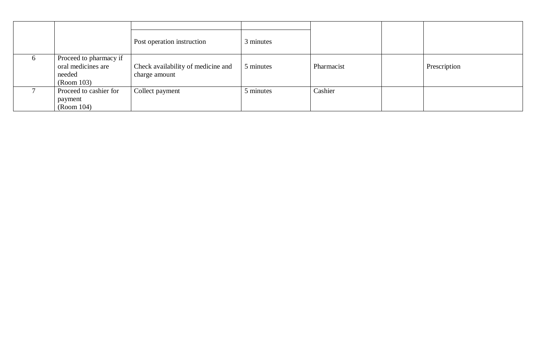|                                                                      | Post operation instruction                          | 3 minutes |            |              |
|----------------------------------------------------------------------|-----------------------------------------------------|-----------|------------|--------------|
| Proceed to pharmacy if<br>oral medicines are<br>needed<br>(Room 103) | Check availability of medicine and<br>charge amount | 5 minutes | Pharmacist | Prescription |
| Proceed to cashier for<br>payment<br>(Room 104)                      | Collect payment                                     | 5 minutes | Cashier    |              |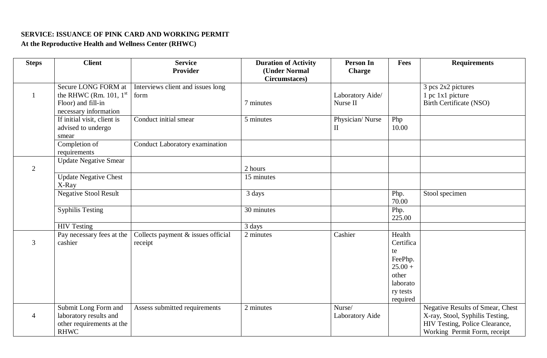#### **SERVICE: ISSUANCE OF PINK CARD AND WORKING PERMIT**

**At the Reproductive Health and Wellness Center (RHWC)**

| <b>Steps</b>   | <b>Client</b>                | <b>Service</b>                     | <b>Duration of Activity</b> | <b>Person In</b>       | Fees      | <b>Requirements</b>              |
|----------------|------------------------------|------------------------------------|-----------------------------|------------------------|-----------|----------------------------------|
|                |                              | <b>Provider</b>                    | (Under Normal               | <b>Charge</b>          |           |                                  |
|                |                              |                                    | Circumstaces)               |                        |           |                                  |
|                | Secure LONG FORM at          | Interviews client and issues long  |                             |                        |           | 3 pcs 2x2 pictures               |
|                | the RHWC (Rm. 101, $1st$     | form                               |                             | Laboratory Aide/       |           | 1 pc 1x1 picture                 |
|                | Floor) and fill-in           |                                    | 7 minutes                   | Nurse II               |           | <b>Birth Certificate (NSO)</b>   |
|                | necessary information        |                                    |                             |                        |           |                                  |
|                | If initial visit, client is  | Conduct initial smear              | 5 minutes                   | Physician/Nurse        | Php       |                                  |
|                | advised to undergo           |                                    |                             | $\mathbf{I}$           | 10.00     |                                  |
|                | smear                        |                                    |                             |                        |           |                                  |
|                | Completion of                | Conduct Laboratory examination     |                             |                        |           |                                  |
|                | requirements                 |                                    |                             |                        |           |                                  |
|                | <b>Update Negative Smear</b> |                                    |                             |                        |           |                                  |
| $\overline{2}$ |                              |                                    | 2 hours                     |                        |           |                                  |
|                | <b>Update Negative Chest</b> |                                    | 15 minutes                  |                        |           |                                  |
|                | X-Ray                        |                                    |                             |                        |           |                                  |
|                | <b>Negative Stool Result</b> |                                    | 3 days                      |                        | Php.      | Stool specimen                   |
|                |                              |                                    |                             |                        | 70.00     |                                  |
|                | Syphilis Testing             |                                    | 30 minutes                  |                        | Php.      |                                  |
|                |                              |                                    |                             |                        | 225.00    |                                  |
|                | <b>HIV Testing</b>           |                                    | 3 days                      |                        |           |                                  |
|                | Pay necessary fees at the    | Collects payment & issues official | 2 minutes                   | Cashier                | Health    |                                  |
| 3              | cashier                      | receipt                            |                             |                        | Certifica |                                  |
|                |                              |                                    |                             |                        | te        |                                  |
|                |                              |                                    |                             |                        | FeePhp.   |                                  |
|                |                              |                                    |                             |                        | $25.00 +$ |                                  |
|                |                              |                                    |                             |                        | other     |                                  |
|                |                              |                                    |                             |                        | laborato  |                                  |
|                |                              |                                    |                             |                        | ry tests  |                                  |
|                |                              |                                    |                             |                        | required  |                                  |
|                | Submit Long Form and         | Assess submitted requirements      | 2 minutes                   | Nurse/                 |           | Negative Results of Smear, Chest |
| 4              | laboratory results and       |                                    |                             | <b>Laboratory Aide</b> |           | X-ray, Stool, Syphilis Testing,  |
|                | other requirements at the    |                                    |                             |                        |           | HIV Testing, Police Clearance,   |
|                | <b>RHWC</b>                  |                                    |                             |                        |           | Working Permit Form, receipt     |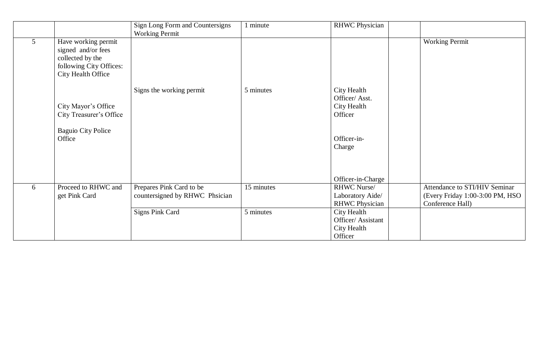|             |                                                                                                                | Sign Long Form and Countersigns<br><b>Working Permit</b>   | 1 minute   | <b>RHWC Physician</b>                                       |                                                                                      |
|-------------|----------------------------------------------------------------------------------------------------------------|------------------------------------------------------------|------------|-------------------------------------------------------------|--------------------------------------------------------------------------------------|
| $5^{\circ}$ | Have working permit<br>signed and/or fees<br>collected by the<br>following City Offices:<br>City Health Office |                                                            |            |                                                             | <b>Working Permit</b>                                                                |
|             | City Mayor's Office<br>City Treasurer's Office                                                                 | Signs the working permit                                   | 5 minutes  | City Health<br>Officer/Asst.<br>City Health<br>Officer      |                                                                                      |
|             | <b>Baguio City Police</b><br>Office                                                                            |                                                            |            | Officer-in-<br>Charge                                       |                                                                                      |
|             |                                                                                                                |                                                            |            | Officer-in-Charge                                           |                                                                                      |
| 6           | Proceed to RHWC and<br>get Pink Card                                                                           | Prepares Pink Card to be<br>countersigned by RHWC Phsician | 15 minutes | RHWC Nurse/<br>Laboratory Aide/<br><b>RHWC Physician</b>    | Attendance to STI/HIV Seminar<br>(Every Friday 1:00-3:00 PM, HSO<br>Conference Hall) |
|             |                                                                                                                | <b>Signs Pink Card</b>                                     | 5 minutes  | City Health<br>Officer/ Assistant<br>City Health<br>Officer |                                                                                      |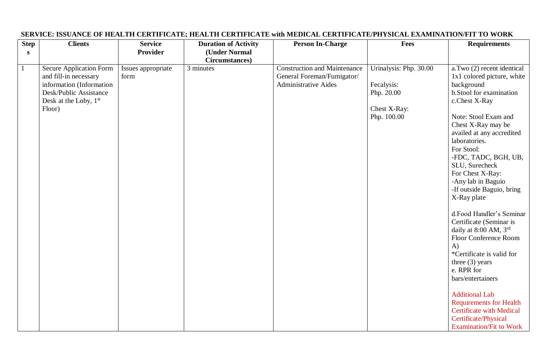| <b>Step</b>  | <b>Clients</b>                 | <b>Service</b>     | <b>Duration of Activity</b> | <b>Person In-Charge</b>             | Fees                   | <b>Requirements</b>                            |
|--------------|--------------------------------|--------------------|-----------------------------|-------------------------------------|------------------------|------------------------------------------------|
| S            |                                | <b>Provider</b>    | (Under Normal               |                                     |                        |                                                |
|              |                                |                    | <b>Circumstances</b> )      |                                     |                        |                                                |
| $\mathbf{1}$ | <b>Secure Application Form</b> | Issues appropriate | 3 minutes                   | <b>Construction and Maintenance</b> | Urinalysis: Php. 30.00 | a.Two (2) recent identical                     |
|              | and fill-in necessary          | form               |                             | General Foreman/Fumigator/          |                        | 1x1 colored picture, white                     |
|              | information (Information       |                    |                             | <b>Administrative Aides</b>         | Fecalysis:             | background                                     |
|              | Desk/Public Assistance         |                    |                             |                                     | Php. 20.00             | b.Stool for examination                        |
|              | Desk at the Loby, 1st          |                    |                             |                                     |                        | c.Chest X-Ray                                  |
|              | Floor)                         |                    |                             |                                     | Chest X-Ray:           |                                                |
|              |                                |                    |                             |                                     | Php. 100.00            | Note: Stool Exam and                           |
|              |                                |                    |                             |                                     |                        | Chest X-Ray may be                             |
|              |                                |                    |                             |                                     |                        | availed at any accredited                      |
|              |                                |                    |                             |                                     |                        | laboratories.                                  |
|              |                                |                    |                             |                                     |                        | For Stool:                                     |
|              |                                |                    |                             |                                     |                        | -FDC, TADC, BGH, UB,                           |
|              |                                |                    |                             |                                     |                        | SLU, Surecheck                                 |
|              |                                |                    |                             |                                     |                        | For Chest X-Ray:                               |
|              |                                |                    |                             |                                     |                        | -Any lab in Baguio                             |
|              |                                |                    |                             |                                     |                        | -If outside Baguio, bring                      |
|              |                                |                    |                             |                                     |                        | X-Ray plate                                    |
|              |                                |                    |                             |                                     |                        |                                                |
|              |                                |                    |                             |                                     |                        | d.Food Handler's Seminar                       |
|              |                                |                    |                             |                                     |                        | Certificate (Seminar is                        |
|              |                                |                    |                             |                                     |                        | daily at 8:00 AM, 3rd<br>Floor Conference Room |
|              |                                |                    |                             |                                     |                        | $\bf{A}$                                       |
|              |                                |                    |                             |                                     |                        | *Certificate is valid for                      |
|              |                                |                    |                             |                                     |                        | three $(3)$ years                              |
|              |                                |                    |                             |                                     |                        | e. RPR for                                     |
|              |                                |                    |                             |                                     |                        | bars/entertainers                              |
|              |                                |                    |                             |                                     |                        |                                                |
|              |                                |                    |                             |                                     |                        | <b>Additional Lab</b>                          |
|              |                                |                    |                             |                                     |                        | <b>Requirements for Health</b>                 |
|              |                                |                    |                             |                                     |                        | <b>Certificate with Medical</b>                |
|              |                                |                    |                             |                                     |                        | Certificate/Physical                           |
|              |                                |                    |                             |                                     |                        | <b>Examination/Fit to Work</b>                 |

#### **SERVICE: ISSUANCE OF HEALTH CERTIFICATE; HEALTH CERTIFICATE with MEDICAL CERTIFICATE/PHYSICAL EXAMINATION/FIT TO WORK**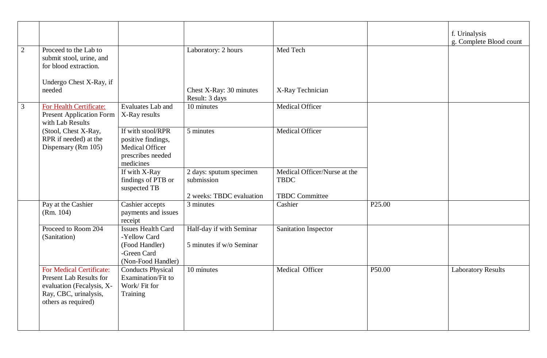|                |                                                                                                                                         |                                                                                                  |                                                                   |                                                                      |                    | f. Urinalysis<br>g. Complete Blood count |
|----------------|-----------------------------------------------------------------------------------------------------------------------------------------|--------------------------------------------------------------------------------------------------|-------------------------------------------------------------------|----------------------------------------------------------------------|--------------------|------------------------------------------|
| $\overline{2}$ | Proceed to the Lab to<br>submit stool, urine, and<br>for blood extraction.                                                              |                                                                                                  | Laboratory: 2 hours                                               | Med Tech                                                             |                    |                                          |
|                | Undergo Chest X-Ray, if<br>needed                                                                                                       |                                                                                                  | Chest X-Ray: 30 minutes<br>Result: 3 days                         | X-Ray Technician                                                     |                    |                                          |
| 3              | For Health Certificate:<br>Present Application Form<br>with Lab Results                                                                 | <b>Evaluates Lab and</b><br>X-Ray results                                                        | 10 minutes                                                        | Medical Officer                                                      |                    |                                          |
|                | (Stool, Chest X-Ray,<br>RPR if needed) at the<br>Dispensary (Rm 105)                                                                    | If with stool/RPR<br>positive findings,<br>Medical Officer<br>prescribes needed<br>medicines     | 5 minutes                                                         | Medical Officer                                                      |                    |                                          |
|                |                                                                                                                                         | If with X-Ray<br>findings of PTB or<br>suspected TB                                              | 2 days: sputum specimen<br>submission<br>2 weeks: TBDC evaluation | Medical Officer/Nurse at the<br><b>TBDC</b><br><b>TBDC</b> Committee |                    |                                          |
|                | Pay at the Cashier<br>(Rm. 104)                                                                                                         | Cashier accepts<br>payments and issues<br>receipt                                                | 3 minutes                                                         | Cashier                                                              | P <sub>25.00</sub> |                                          |
|                | Proceed to Room 204<br>(Sanitation)                                                                                                     | <b>Issues Health Card</b><br>-Yellow Card<br>(Food Handler)<br>-Green Card<br>(Non-Food Handler) | Half-day if with Seminar<br>5 minutes if w/o Seminar              | Sanitation Inspector                                                 |                    |                                          |
|                | For Medical Certificate:<br><b>Present Lab Results for</b><br>evaluation (Fecalysis, X-<br>Ray, CBC, urinalysis,<br>others as required) | <b>Conducts Physical</b><br>Examination/Fit to<br>Work/Fit for<br>Training                       | 10 minutes                                                        | Medical Officer                                                      | P50.00             | <b>Laboratory Results</b>                |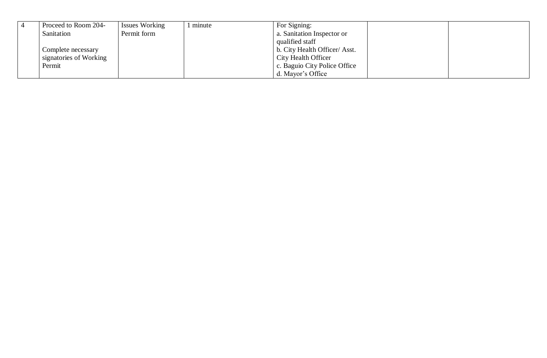| Proceed to Room 204-   | <b>Issues Working</b> | minute | For Signing:                 |
|------------------------|-----------------------|--------|------------------------------|
| Sanitation             | Permit form           |        | a. Sanitation Inspector or   |
|                        |                       |        | qualified staff              |
| Complete necessary     |                       |        | b. City Health Officer/Asst. |
| signatories of Working |                       |        | City Health Officer          |
| Permit                 |                       |        | c. Baguio City Police Office |
|                        |                       |        | d. Mayor's Office            |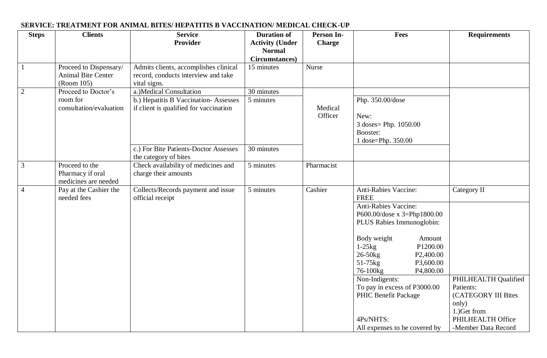| <b>Steps</b>   | <b>Clients</b>                                                    | <b>Service</b><br><b>Provider</b>                                                                          | <b>Duration of</b><br><b>Activity (Under</b><br><b>Normal</b><br>Circumstances) | Person In-<br><b>Charge</b> | <b>Fees</b>                                                                                                                                                                                                                                                                                                                                                                              | <b>Requirements</b>                                                                                                                          |
|----------------|-------------------------------------------------------------------|------------------------------------------------------------------------------------------------------------|---------------------------------------------------------------------------------|-----------------------------|------------------------------------------------------------------------------------------------------------------------------------------------------------------------------------------------------------------------------------------------------------------------------------------------------------------------------------------------------------------------------------------|----------------------------------------------------------------------------------------------------------------------------------------------|
|                | Proceed to Dispensary/<br><b>Animal Bite Center</b><br>(Room 105) | Admits clients, accomplishes clinical<br>record, conducts interview and take<br>vital signs.               | 15 minutes                                                                      | Nurse                       |                                                                                                                                                                                                                                                                                                                                                                                          |                                                                                                                                              |
| $\overline{2}$ | Proceed to Doctor's<br>room for<br>consultation/evaluation        | a.) Medical Consultation<br>b.) Hepatitis B Vaccination-Assesses<br>if client is qualified for vaccination | 30 minutes<br>5 minutes                                                         | Medical<br>Officer          | Php. 350.00/dose<br>New:<br>3 doses = Php. 1050.00<br>Booster:<br>1 dose=Php. 350.00                                                                                                                                                                                                                                                                                                     |                                                                                                                                              |
|                |                                                                   | c.) For Bite Patients-Doctor Assesses<br>the category of bites                                             | 30 minutes                                                                      |                             |                                                                                                                                                                                                                                                                                                                                                                                          |                                                                                                                                              |
| 3              | Proceed to the<br>Pharmacy if oral<br>medicines are needed        | Check availability of medicines and<br>charge their amounts                                                | 5 minutes                                                                       | Pharmacist                  |                                                                                                                                                                                                                                                                                                                                                                                          |                                                                                                                                              |
| $\overline{4}$ | Pay at the Cashier the<br>needed fees                             | Collects/Records payment and issue<br>official receipt                                                     | 5 minutes                                                                       | Cashier                     | Anti-Rabies Vaccine:<br><b>FREE</b><br>Anti-Rabies Vaccine:<br>P600.00/dose x 3=Php1800.00<br>PLUS Rabies Immunoglobin:<br>Body weight<br>Amount<br>P1200.00<br>$1-25kg$<br>$26-50kg$<br>P <sub>2</sub> ,400.00<br>51-75kg<br>P3,600.00<br>P4,800.00<br>76-100kg<br>Non-Indigents:<br>To pay in excess of P3000.00<br>PHIC Benefit Package<br>4Ps/NHTS:<br>All expenses to be covered by | Category II<br>PHILHEALTH Qualified<br>Patients:<br>(CATEGORY III Bites<br>only)<br>1.) Get from<br>PHILHEALTH Office<br>-Member Data Record |

#### **SERVICE: TREATMENT FOR ANIMAL BITES/ HEPATITIS B VACCINATION/ MEDICAL CHECK-UP**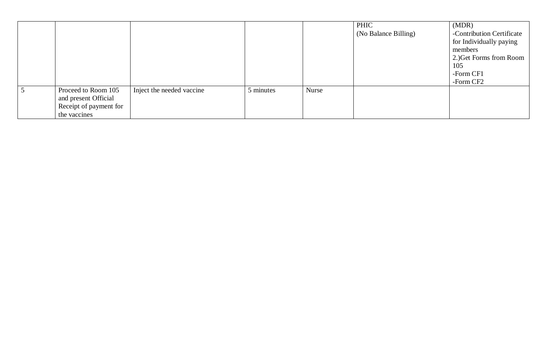|                        |                           |           |       | PHIC                 | (MDR)                     |
|------------------------|---------------------------|-----------|-------|----------------------|---------------------------|
|                        |                           |           |       | (No Balance Billing) | -Contribution Certificate |
|                        |                           |           |       |                      | for Individually paying   |
|                        |                           |           |       |                      | members                   |
|                        |                           |           |       |                      | 2.) Get Forms from Room   |
|                        |                           |           |       |                      | 105                       |
|                        |                           |           |       |                      | -Form CF1                 |
|                        |                           |           |       |                      | -Form CF2                 |
| Proceed to Room 105    | Inject the needed vaccine | 5 minutes | Nurse |                      |                           |
| and present Official   |                           |           |       |                      |                           |
| Receipt of payment for |                           |           |       |                      |                           |
| the vaccines           |                           |           |       |                      |                           |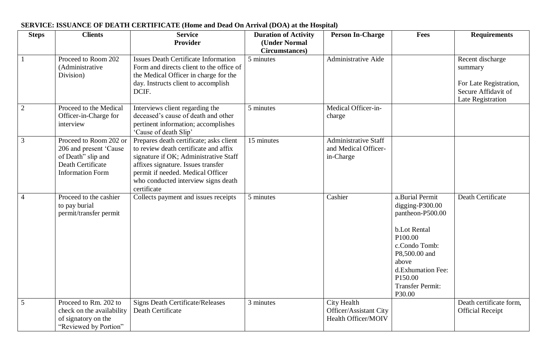| <b>Steps</b>   | <b>Clients</b>                                                                                                         | <b>Service</b><br>Provider                                                                                                                                                                                                                                 | <b>Duration of Activity</b><br>(Under Normal<br>Circumstances) | <b>Person In-Charge</b>                                          | <b>Fees</b>                                                                                                                                                                                          | <b>Requirements</b>                                                                               |
|----------------|------------------------------------------------------------------------------------------------------------------------|------------------------------------------------------------------------------------------------------------------------------------------------------------------------------------------------------------------------------------------------------------|----------------------------------------------------------------|------------------------------------------------------------------|------------------------------------------------------------------------------------------------------------------------------------------------------------------------------------------------------|---------------------------------------------------------------------------------------------------|
|                | Proceed to Room 202<br>(Administrative<br>Division)                                                                    | <b>Issues Death Certificate Information</b><br>Form and directs client to the office of<br>the Medical Officer in charge for the<br>day. Instructs client to accomplish<br>DCIF.                                                                           | 5 minutes                                                      | <b>Administrative Aide</b>                                       |                                                                                                                                                                                                      | Recent discharge<br>summary<br>For Late Registration,<br>Secure Affidavit of<br>Late Registration |
| $\overline{2}$ | Proceed to the Medical<br>Officer-in-Charge for<br>interview                                                           | Interviews client regarding the<br>deceased's cause of death and other<br>pertinent information; accomplishes<br>'Cause of death Slip'                                                                                                                     | 5 minutes                                                      | Medical Officer-in-<br>charge                                    |                                                                                                                                                                                                      |                                                                                                   |
| $\overline{3}$ | Proceed to Room 202 or<br>206 and present 'Cause<br>of Death" slip and<br>Death Certificate<br><b>Information Form</b> | Prepares death certificate; asks client<br>to review death certificate and affix<br>signature if OK; Administrative Staff<br>affixes signature. Issues transfer<br>permit if needed. Medical Officer<br>who conducted interview signs death<br>certificate | 15 minutes                                                     | <b>Administrative Staff</b><br>and Medical Officer-<br>in-Charge |                                                                                                                                                                                                      |                                                                                                   |
| $\overline{4}$ | Proceed to the cashier<br>to pay burial<br>permit/transfer permit                                                      | Collects payment and issues receipts                                                                                                                                                                                                                       | 5 minutes                                                      | Cashier                                                          | a.Burial Permit<br>digging- $P300.00$<br>pantheon-P500.00<br>b.Lot Rental<br>P100.00<br>c.Condo Tomb:<br>P8,500.00 and<br>above<br>d.Exhumation Fee:<br>P150.00<br><b>Transfer Permit:</b><br>P30.00 | Death Certificate                                                                                 |
| 5              | Proceed to Rm. 202 to<br>check on the availability<br>of signatory on the<br>"Reviewed by Portion"                     | <b>Signs Death Certificate/Releases</b><br>Death Certificate                                                                                                                                                                                               | 3 minutes                                                      | City Health<br>Officer/Assistant City<br>Health Officer/MOIV     |                                                                                                                                                                                                      | Death certificate form,<br><b>Official Receipt</b>                                                |

#### **SERVICE: ISSUANCE OF DEATH CERTIFICATE (Home and Dead On Arrival (DOA) at the Hospital)**